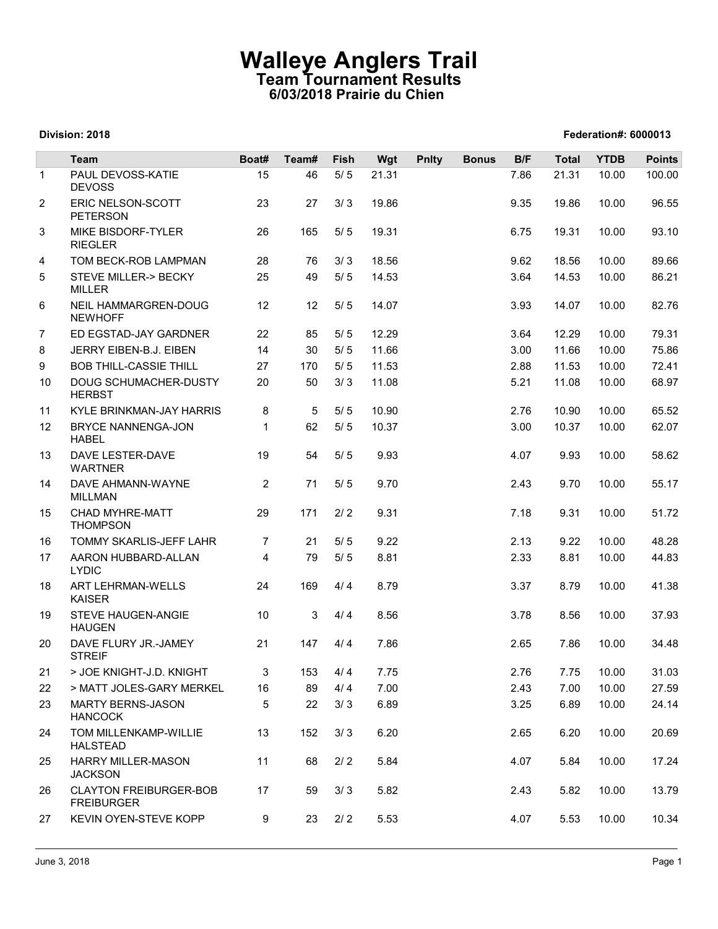## Walleye Anglers Trail Team Tournament Results 6/03/2018 Prairie du Chien

|                |                                                    |                      | <b>Team Tournament Results</b><br>6/03/2018 Prairie du Chien |       | <b>Walleye Anglers Trail</b> |              |              |      |              |             |               |
|----------------|----------------------------------------------------|----------------------|--------------------------------------------------------------|-------|------------------------------|--------------|--------------|------|--------------|-------------|---------------|
|                | Division: 2018                                     | Federation#: 6000013 |                                                              |       |                              |              |              |      |              |             |               |
|                | Team                                               | Boat#                | Team#                                                        | Fish  | Wgt                          | <b>Pnlty</b> | <b>Bonus</b> | B/F  | <b>Total</b> | <b>YTDB</b> | <b>Points</b> |
| $\overline{1}$ | PAUL DEVOSS-KATIE<br><b>DEVOSS</b>                 | 15                   | 46                                                           | $5/5$ | 21.31                        |              |              | 7.86 | 21.31        | 10.00       | 100.00        |
| 2              | ERIC NELSON-SCOTT<br><b>PETERSON</b>               | 23                   | 27                                                           | 3/3   | 19.86                        |              |              | 9.35 | 19.86        | 10.00       | 96.55         |
| 3              | MIKE BISDORF-TYLER<br><b>RIEGLER</b>               | 26                   | 165                                                          | 5/5   | 19.31                        |              |              | 6.75 | 19.31        | 10.00       | 93.10         |
| 4              | TOM BECK-ROB LAMPMAN                               | 28                   | 76                                                           | 3/3   | 18.56                        |              |              | 9.62 | 18.56        | 10.00       | 89.66         |
| 5              | STEVE MILLER-> BECKY<br><b>MILLER</b>              | 25                   | 49                                                           | $5/5$ | 14.53                        |              |              | 3.64 | 14.53        | 10.00       | 86.21         |
| 6              | NEIL HAMMARGREN-DOUG<br><b>NEWHOFF</b>             | 12                   | 12                                                           | 5/5   | 14.07                        |              |              | 3.93 | 14.07        | 10.00       | 82.76         |
| $\overline{7}$ | ED EGSTAD-JAY GARDNER                              | 22                   | 85                                                           | $5/5$ | 12.29                        |              |              | 3.64 | 12.29        | 10.00       | 79.31         |
| 8              | JERRY EIBEN-B.J. EIBEN                             | 14                   | 30                                                           | 5/5   | 11.66                        |              |              | 3.00 | 11.66        | 10.00       | 75.86         |
| 9              | <b>BOB THILL-CASSIE THILL</b>                      | 27                   | 170                                                          | 5/5   | 11.53                        |              |              | 2.88 | 11.53        | 10.00       | 72.41         |
| 10             | DOUG SCHUMACHER-DUSTY<br><b>HERBST</b>             | 20                   | 50                                                           | 3/3   | 11.08                        |              |              | 5.21 | 11.08        | 10.00       | 68.97         |
| 11             | KYLE BRINKMAN-JAY HARRIS                           | 8                    | 5                                                            | 5/5   | 10.90                        |              |              | 2.76 | 10.90        | 10.00       | 65.52         |
| 12             | BRYCE NANNENGA-JON<br><b>HABEL</b>                 | $\mathbf{1}$         | 62                                                           | $5/5$ | 10.37                        |              |              | 3.00 | 10.37        | 10.00       | 62.07         |
| 13             | <b>DAVE LESTER-DAVE</b><br><b>WARTNER</b>          | 19                   | 54                                                           | 5/5   | 9.93                         |              |              | 4.07 | 9.93         | 10.00       | 58.62         |
| 14             | DAVE AHMANN-WAYNE<br><b>MILLMAN</b>                | $\overline{2}$       | 71                                                           | $5/5$ | 9.70                         |              |              | 2.43 | 9.70         | 10.00       | 55.17         |
| 15             | <b>CHAD MYHRE-MATT</b><br><b>THOMPSON</b>          | 29                   | 171                                                          | $2/2$ | 9.31                         |              |              | 7.18 | 9.31         | 10.00       | 51.72         |
| 16             | TOMMY SKARLIS-JEFF LAHR                            | $\overline{7}$       | 21                                                           | $5/5$ | 9.22                         |              |              | 2.13 | 9.22         | 10.00       | 48.28         |
| 17             | AARON HUBBARD-ALLAN<br><b>LYDIC</b>                | $\overline{4}$       | 79                                                           | 5/5   | 8.81                         |              |              | 2.33 | 8.81         | 10.00       | 44.83         |
| 18             | ART LEHRMAN-WELLS<br>KAISER                        | 24                   | 169                                                          | 4/4   | 8.79                         |              |              | 3.37 | 8.79         | 10.00       | 41.38         |
| 19             | STEVE HAUGEN-ANGIE<br><b>HAUGEN</b>                | 10                   | 3 <sup>1</sup>                                               | 4/4   | 8.56                         |              |              | 3.78 | 8.56         | 10.00       | 37.93         |
| 20             | DAVE FLURY JR.-JAMEY<br><b>STREIF</b>              | 21                   | 147                                                          | 4/4   | 7.86                         |              |              | 2.65 | 7.86         | 10.00       | 34.48         |
| 21             | > JOE KNIGHT-J.D. KNIGHT                           | 3                    | 153                                                          | 4/4   | 7.75                         |              |              | 2.76 | 7.75         | 10.00       | 31.03         |
| 22             | > MATT JOLES-GARY MERKEL                           | 16                   | 89                                                           | 4/4   | 7.00                         |              |              | 2.43 | 7.00         | 10.00       | 27.59         |
| 23             | <b>MARTY BERNS-JASON</b><br><b>HANCOCK</b>         | 5                    | 22                                                           | 3/3   | 6.89                         |              |              | 3.25 | 6.89         | 10.00       | 24.14         |
| 24             | TOM MILLENKAMP-WILLIE<br><b>HALSTEAD</b>           | 13                   | 152                                                          | 3/3   | 6.20                         |              |              | 2.65 | 6.20         | 10.00       | 20.69         |
| 25             | <b>HARRY MILLER-MASON</b><br><b>JACKSON</b>        | 11                   | 68                                                           | $2/2$ | 5.84                         |              |              | 4.07 | 5.84         | 10.00       | 17.24         |
| 26             | <b>CLAYTON FREIBURGER-BOB</b><br><b>FREIBURGER</b> | 17                   | 59                                                           | 3/3   | 5.82                         |              |              | 2.43 | 5.82         | 10.00       | 13.79         |
| 27             | KEVIN OYEN-STEVE KOPP                              | 9                    | 23                                                           | 2/2   | 5.53                         |              |              | 4.07 | 5.53         | 10.00       | 10.34         |

### Division: 2018 Federation#: 6000013